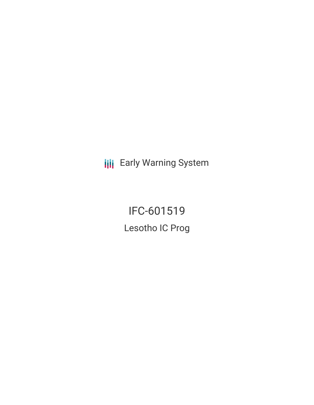**III** Early Warning System

IFC-601519 Lesotho IC Prog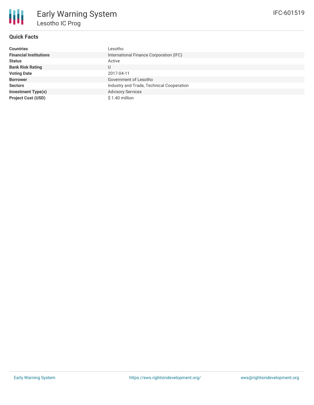

# **Quick Facts**

| <b>Countries</b>              | Lesotho                                   |
|-------------------------------|-------------------------------------------|
| <b>Financial Institutions</b> | International Finance Corporation (IFC)   |
| <b>Status</b>                 | Active                                    |
| <b>Bank Risk Rating</b>       | U                                         |
| <b>Voting Date</b>            | 2017-04-11                                |
| <b>Borrower</b>               | Government of Lesotho                     |
| <b>Sectors</b>                | Industry and Trade, Technical Cooperation |
| <b>Investment Type(s)</b>     | <b>Advisory Services</b>                  |
| <b>Project Cost (USD)</b>     | $$1.40$ million                           |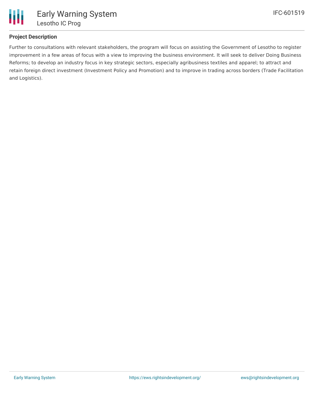

## **Project Description**

Further to consultations with relevant stakeholders, the program will focus on assisting the Government of Lesotho to register improvement in a few areas of focus with a view to improving the business environment. It will seek to deliver Doing Business Reforms; to develop an industry focus in key strategic sectors, especially agribusiness textiles and apparel; to attract and retain foreign direct investment (Investment Policy and Promotion) and to improve in trading across borders (Trade Facilitation and Logistics).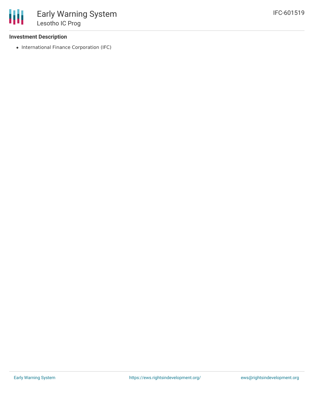### **Investment Description**

• International Finance Corporation (IFC)